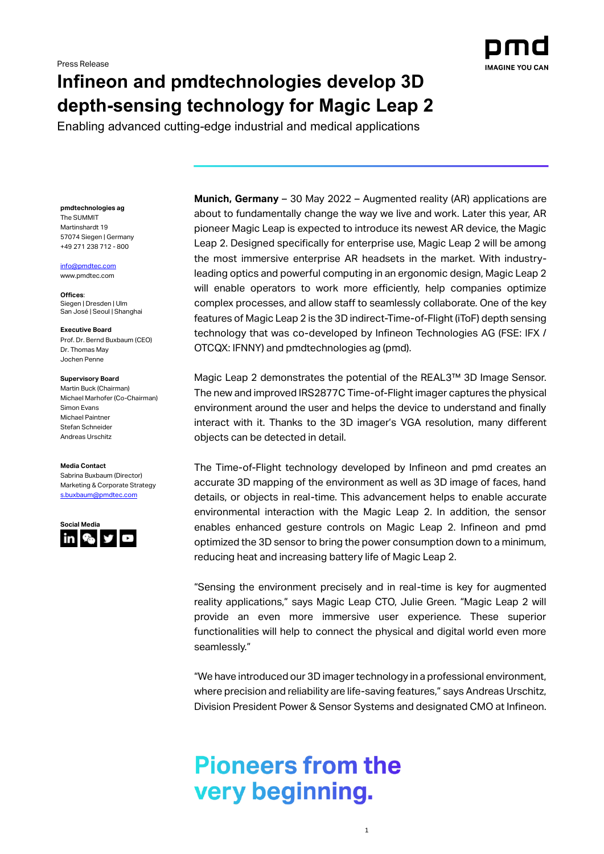

## **Infineon and pmdtechnologies develop 3D depth-sensing technology for Magic Leap 2**

Enabling advanced cutting-edge industrial and medical applications

**pmdtechnologies ag** The SUMMIT Martinshardt 19 57074 Siegen | Germany +49 271 238 712 - 800

[info@pmdtec.com](mailto:info@pmdtec.com) [www.pmdtec.com](http://www.pmdtec.com/)

**Offices**: Siegen | Dresden | Ulm San José | Seoul | Shanghai

**Executive Board** Prof. Dr. Bernd Buxbaum (CEO) Dr. Thomas May Jochen Penne

## **Supervisory Board**

Martin Buck (Chairman) Michael Marhofer (Co-Chairman) Simon Evans Michael Paintner Stefan Schneider Andreas Urschitz

## **Media Contact**

Sabrina Buxbaum (Director) Marketing & Corporate Strategy [s.buxbaum@pmdtec.com](mailto:s.buxbaum@pmdtec.com)



**Munich, Germany** – 30 May 2022 – Augmented reality (AR) applications are about to fundamentally change the way we live and work. Later this year, AR pioneer Magic Leap is expected to introduce its newest AR device, the Magic Leap 2. Designed specifically for enterprise use, Magic Leap 2 will be among the most immersive enterprise AR headsets in the market. With industryleading optics and powerful computing in an ergonomic design, Magic Leap 2 will enable operators to work more efficiently, help companies optimize complex processes, and allow staff to seamlessly collaborate. One of the key features of Magic Leap 2 is the 3D indirect-Time-of-Flight (iToF) depth sensing technology that was co-developed by Infineon Technologies AG (FSE: IFX / OTCQX: IFNNY) and pmdtechnologies ag (pmd).

Magic Leap 2 demonstrates the potential of the REAL3™ 3D Image Sensor. The new and improved IRS2877C Time-of-Flight imager captures the physical environment around the user and helps the device to understand and finally interact with it. Thanks to the 3D imager's VGA resolution, many different objects can be detected in detail.

The Time-of-Flight technology developed by Infineon and pmd creates an accurate 3D mapping of the environment as well as 3D image of faces, hand details, or objects in real-time. This advancement helps to enable accurate environmental interaction with the Magic Leap 2. In addition, the sensor enables enhanced gesture controls on Magic Leap 2. Infineon and pmd optimized the 3D sensor to bring the power consumption down to a minimum, reducing heat and increasing battery life of Magic Leap 2.

"Sensing the environment precisely and in real-time is key for augmented reality applications," says Magic Leap CTO, Julie Green. "Magic Leap 2 will provide an even more immersive user experience. These superior functionalities will help to connect the physical and digital world even more seamlessly."

"We have introduced our 3D imager technology in a professional environment, where precision and reliability are life-saving features," says Andreas Urschitz, Division President Power & Sensor Systems and designated CMO at Infineon.

1

# **Pioneers from the** very beginning.